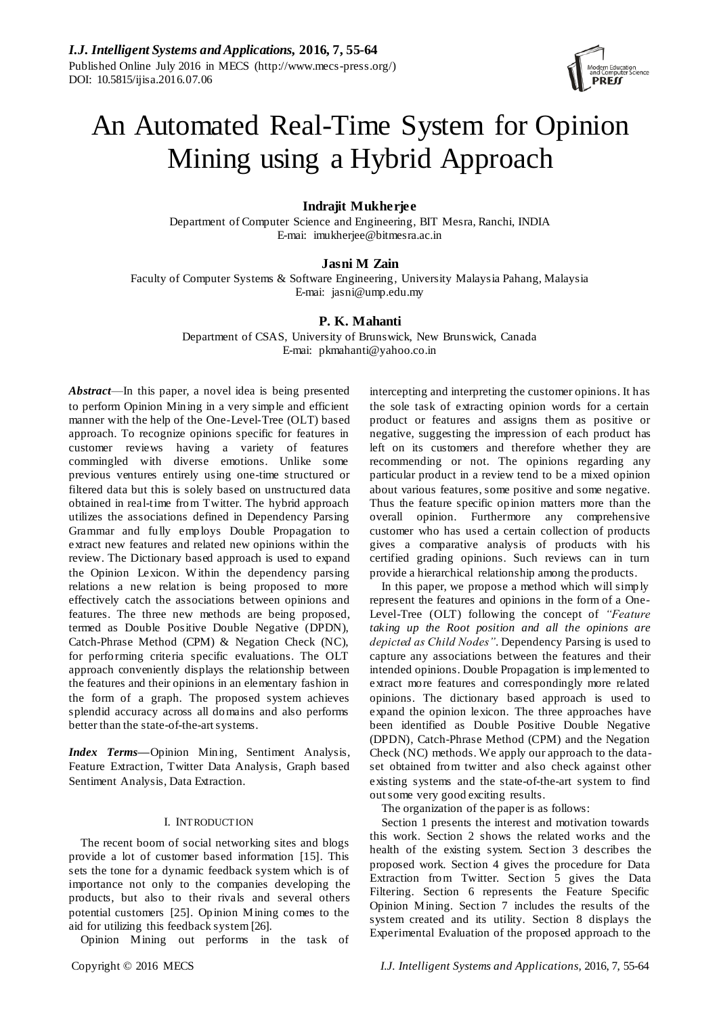

# An Automated Real-Time System for Opinion Mining using a Hybrid Approach

# **Indrajit Mukherjee**

Department of Computer Science and Engineering, BIT Mesra, Ranchi, INDIA E-mai: imukherjee@bitmesra.ac.in

# **Jasni M Zain**

Faculty of Computer Systems & Software Engineering, University Malaysia Pahang, Malaysia E-mai: jasni@ump.edu.my

# **P. K. Mahanti**

Department of CSAS, University of Brunswick, New Brunswick, Canada E-mai: pkmahanti@yahoo.co.in

*Abstract*—In this paper, a novel idea is being presented to perform Opinion Mining in a very simple and efficient manner with the help of the One-Level-Tree (OLT) based approach. To recognize opinions specific for features in customer reviews having a variety of features commingled with diverse emotions. Unlike some previous ventures entirely using one-time structured or filtered data but this is solely based on unstructured data obtained in real-time from Twitter. The hybrid approach utilizes the associations defined in Dependency Parsing Grammar and fully employs Double Propagation to extract new features and related new opinions within the review. The Dictionary based approach is used to expand the Opinion Lexicon. W ithin the dependency parsing relations a new relation is being proposed to more effectively catch the associations between opinions and features. The three new methods are being proposed, termed as Double Positive Double Negative (DPDN), Catch-Phrase Method (CPM) & Negation Check (NC), for performing criteria specific evaluations. The OLT approach conveniently displays the relationship between the features and their opinions in an elementary fashion in the form of a graph. The proposed system achieves splendid accuracy across all domains and also performs better than the state-of-the-art systems.

*Index Terms***—**Opinion Mining, Sentiment Analysis, Feature Extraction, Twitter Data Analysis, Graph based Sentiment Analysis, Data Extraction.

# I. INTRODUCTION

The recent boom of social networking sites and blogs provide a lot of customer based information [15]. This sets the tone for a dynamic feedback system which is of importance not only to the companies developing the products, but also to their rivals and several others potential customers [25]. Opinion Mining comes to the aid for utilizing this feedback system [26].

Opinion Mining out performs in the task of

intercepting and interpreting the customer opinions. It has the sole task of extracting opinion words for a certain product or features and assigns them as positive or negative, suggesting the impression of each product has left on its customers and therefore whether they are recommending or not. The opinions regarding any particular product in a review tend to be a mixed opinion about various features, some positive and some negative. Thus the feature specific opinion matters more than the overall opinion. Furthermore any comprehensive customer who has used a certain collection of products gives a comparative analysis of products with his certified grading opinions. Such reviews can in turn provide a hierarchical relationship among the products.

In this paper, we propose a method which will simply represent the features and opinions in the form of a One-Level-Tree (OLT) following the concept of *"Feature taking up the Root position and all the opinions are depicted as Child Nodes"*. Dependency Parsing is used to capture any associations between the features and their intended opinions. Double Propagation is implemented to extract more features and correspondingly more related opinions. The dictionary based approach is used to expand the opinion lexicon. The three approaches have been identified as Double Positive Double Negative (DPDN), Catch-Phrase Method (CPM) and the Negation Check (NC) methods. We apply our approach to the dataset obtained from twitter and also check against other existing systems and the state-of-the-art system to find out some very good exciting results.

The organization of the paper is as follows:

Section 1 presents the interest and motivation towards this work. Section 2 shows the related works and the health of the existing system. Section 3 describes the proposed work. Section 4 gives the procedure for Data Extraction from Twitter. Section 5 gives the Data Filtering. Section 6 represents the Feature Specific Opinion Mining. Section 7 includes the results of the system created and its utility. Section 8 displays the Experimental Evaluation of the proposed approach to the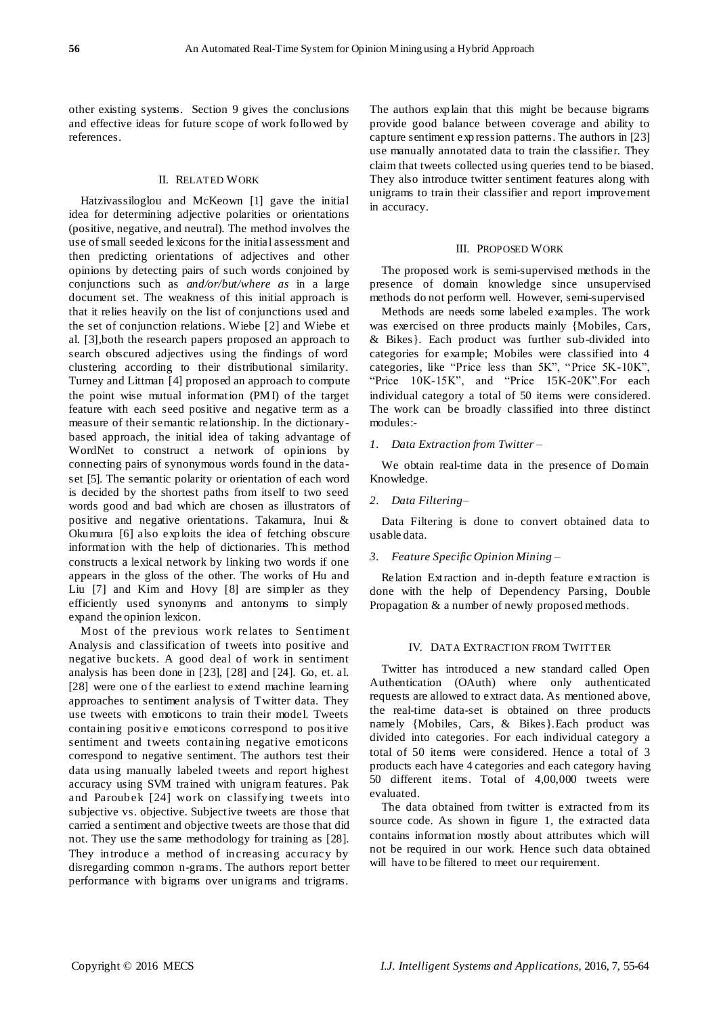other existing systems. Section 9 gives the conclusions and effective ideas for future scope of work followed by references.

#### II. RELATED WORK

Hatzivassiloglou and McKeown [1] gave the initial idea for determining adjective polarities or orientations (positive, negative, and neutral). The method involves the use of small seeded lexicons for the initial assessment and then predicting orientations of adjectives and other opinions by detecting pairs of such words conjoined by conjunctions such as *and/or/but/where as* in a large document set. The weakness of this initial approach is that it relies heavily on the list of conjunctions used and the set of conjunction relations. Wiebe [2] and Wiebe et al. [3],both the research papers proposed an approach to search obscured adjectives using the findings of word clustering according to their distributional similarity. Turney and Littman [4] proposed an approach to compute the point wise mutual information (PMI) of the target feature with each seed positive and negative term as a measure of their semantic relationship. In the dictionarybased approach, the initial idea of taking advantage of WordNet to construct a network of opinions by connecting pairs of synonymous words found in the dataset [5]. The semantic polarity or orientation of each word is decided by the shortest paths from itself to two seed words good and bad which are chosen as illustrators of positive and negative orientations. Takamura, Inui & Okumura [6] also exploits the idea of fetching obscure information with the help of dictionaries. This method constructs a lexical network by linking two words if one appears in the gloss of the other. The works of Hu and Liu [7] and Kim and Hovy [8] are simpler as they efficiently used synonyms and antonyms to simply expand the opinion lexicon.

Most of the previous work relates to Sentiment Analysis and classification of tweets into positive and negative buckets. A good deal of work in sentiment analysis has been done in [23], [28] and [24]. Go, et. al. [28] were one of the earliest to extend machine learning approaches to sentiment analysis of Twitter data. They use tweets with emoticons to train their model. Tweets containing positive emoticons correspond to positive sentiment and tweets containing negative emoticons correspond to negative sentiment. The authors test their data using manually labeled tweets and report highest accuracy using SVM trained with unigram features. Pak and Paroubek [24] work on classifying tweets into subjective vs. objective. Subjective tweets are those that carried a sentiment and objective tweets are those that did not. They use the same methodology for training as [28]. They introduce a method of increasing accuracy by disregarding common n-grams. The authors report better performance with bigrams over unigrams and trigrams.

The authors explain that this might be because bigrams provide good balance between coverage and ability to capture sentiment exp ression patterns. The authors in [23] use manually annotated data to train the classifier. They claim that tweets collected using queries tend to be biased. They also introduce twitter sentiment features along with unigrams to train their classifier and report improvement in accuracy.

#### III. PROPOSED WORK

The proposed work is semi-supervised methods in the presence of domain knowledge since unsupervised methods do not perform well. However, semi-supervised

Methods are needs some labeled examples. The work was exercised on three products mainly {Mobiles, Cars, & Bikes}. Each product was further sub-divided into categories for example; Mobiles were classified into 4 categories, like "Price less than 5K", "Price 5K-10K", "Price  $10K-15K$ ", and "Price  $15K-20K$ ". For each individual category a total of 50 items were considered. The work can be broadly classified into three distinct modules:-

# *1. Data Extraction from Twitter –*

We obtain real-time data in the presence of Domain Knowledge.

*2. Data Filtering–*

Data Filtering is done to convert obtained data to usable data.

#### *3. Feature Specific Opinion Mining –*

Relation Extraction and in-depth feature extraction is done with the help of Dependency Parsing, Double Propagation & a number of newly proposed methods.

# IV. DATA EXTRACTION FROM TWITTER

Twitter has introduced a new standard called Open Authentication (OAuth) where only authenticated requests are allowed to extract data. As mentioned above, the real-time data-set is obtained on three products namely {Mobiles, Cars, & Bikes}.Each product was divided into categories. For each individual category a total of 50 items were considered. Hence a total of 3 products each have 4 categories and each category having 50 different items. Total of 4,00,000 tweets were evaluated.

The data obtained from twitter is extracted from its source code. As shown in figure 1, the extracted data contains information mostly about attributes which will not be required in our work. Hence such data obtained will have to be filtered to meet our requirement.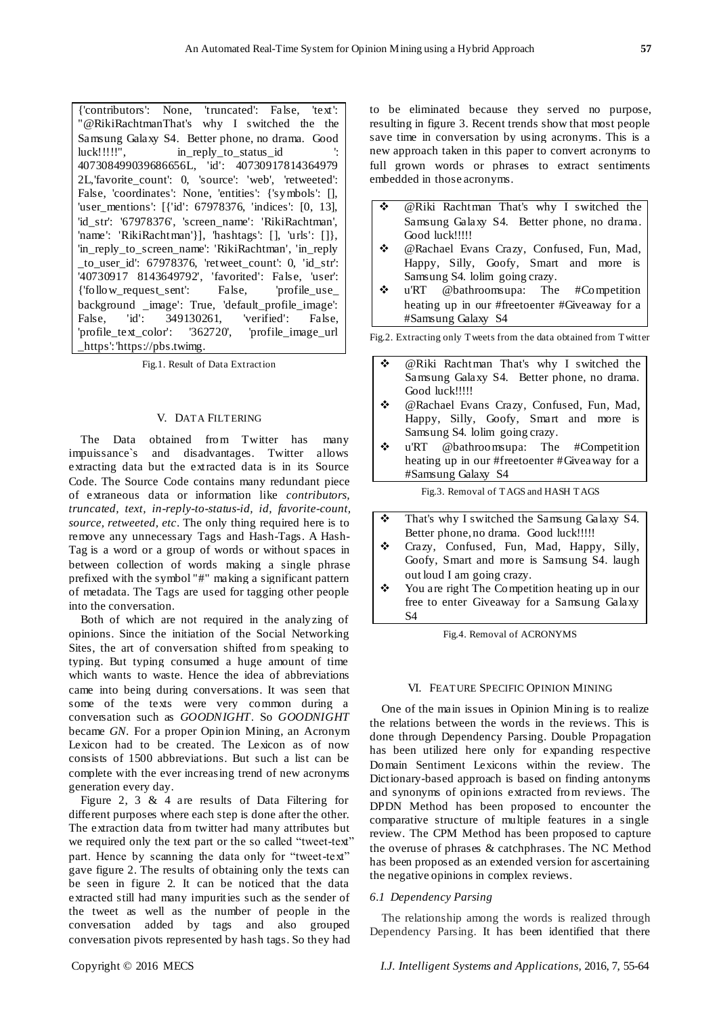{'contributors': None, 'truncated': False, 'text': "@RikiRachtmanThat's why I switched the the Samsung Galaxy S4. Better phone, no drama. Good luck!!!!!!", in reply to status id 407308499039686656L, 'id': 40730917814364979 2L,'favorite\_count': 0, 'source': 'web', 'retweeted': False, 'coordinates': None, 'entities': {'symbols': [], 'user\_mentions': [{'id': 67978376, 'indices': [0, 13], 'id\_str': '67978376', 'screen\_name': 'RikiRachtman', 'name': 'RikiRachtman'}], 'hashtags': [], 'urls': []}, 'in\_reply\_to\_screen\_name': 'RikiRachtman', 'in\_reply \_to\_user\_id': 67978376, 'retweet\_count': 0, 'id\_str': '40730917 8143649792', 'favorited': Fals e, 'user': {'follow\_request\_sent': False, 'profile\_use\_ background \_image': True, 'default\_profile\_image': False, 'id': 349130261, 'verified': False, 'profile\_text\_color': '362720', 'profile\_image\_url \_https': 'https://pbs.twimg.

Fig.1. Result of Data Extraction

#### V. DATA FILTERING

The Data obtained from Twitter has many impuissance`s and disadvantages. Twitter allows extracting data but the extracted data is in its Source Code. The Source Code contains many redundant piece of extraneous data or information like *contributors, truncated, text, in-reply-to-status-id, id, favorite-count, source, retweeted, etc*. The only thing required here is to remove any unnecessary Tags and Hash-Tags. A Hash-Tag is a word or a group of words or without spaces in between collection of words making a single phrase prefixed with the symbol "#" making a significant pattern of metadata. The Tags are used for tagging other people into the conversation.

Both of which are not required in the analyzing of opinions. Since the initiation of the Social Networking Sites, the art of conversation shifted from speaking to typing. But typing consumed a huge amount of time which wants to waste. Hence the idea of abbreviations came into being during conversations. It was seen that some of the texts were very common during a conversation such as *GOODNIGHT*. So *GOODNIGHT* became *GN*. For a proper Opinion Mining, an Acronym Lexicon had to be created. The Lexicon as of now consists of 1500 abbreviations. But such a list can be complete with the ever increasing trend of new acronyms generation every day.

Figure 2, 3 & 4 are results of Data Filtering for different purposes where each step is done after the other. The extraction data from twitter had many attributes but we required only the text part or the so called "tweet-text" part. Hence by scanning the data only for "tweet-text" gave figure 2. The results of obtaining only the texts can be seen in figure 2. It can be noticed that the data extracted still had many impurities such as the sender of the tweet as well as the number of people in the conversation added by tags and also grouped conversation pivots represented by hash tags. So they had

to be eliminated because they served no purpose, resulting in figure 3. Recent trends show that most people save time in conversation by using acronyms. This is a new approach taken in this paper to convert acronyms to full grown words or phrases to extract sentiments embedded in those acronyms.

- @Riki Rachtman That's why I switched the Samsung Galaxy S4. Better phone, no drama. Good luck!!!!!
- @Rachael Evans Crazy, Confused, Fun, Mad, Happy, Silly, Goofy, Smart and more is Samsung S4. lolim going crazy.
- u'RT @bathroomsupa: The #Competition heating up in our #freetoenter #Giveaway for a #Samsung Galaxy S4

Fig.2. Extracting only Tweets from the data obtained from Twitter

- @Riki Rachtman That's why I switched the Samsung Galaxy S4. Better phone, no drama. Good luck!!!!! @Rachael Evans Crazy, Confused, Fun, Mad, Happy, Silly, Goofy, Smart and more is Samsung S4. lolim going crazy.  $\div$  u'RT @bathroomsupa: The #Competition heating up in our #freetoenter #Giveaway for a #Samsung Galaxy S4 Fig.3. Removal of TAGS and HASH TAGS
- That's why I switched the Samsung Galaxy S4. Better phone, no drama. Good luck!!!!!
- Crazy, Confused, Fun, Mad, Happy, Silly, Goofy, Smart and more is Samsung S4. laugh out loud I am going crazy.
- You are right The Competition heating up in our free to enter Giveaway for a Samsung Galaxy S4

Fig.4. Removal of ACRONYMS

#### VI. FEATURE SPECIFIC OPINION MINING

One of the main issues in Opinion Mining is to realize the relations between the words in the reviews. This is done through Dependency Parsing. Double Propagation has been utilized here only for expanding respective Domain Sentiment Lexicons within the review. The Dictionary-based approach is based on finding antonyms and synonyms of opinions extracted from reviews. The DPDN Method has been proposed to encounter the comparative structure of multiple features in a single review. The CPM Method has been proposed to capture the overuse of phrases & catchphrases. The NC Method has been proposed as an extended version for ascertaining the negative opinions in complex reviews.

# *6.1 Dependency Parsing*

The relationship among the words is realized through Dependency Parsing. It has been identified that there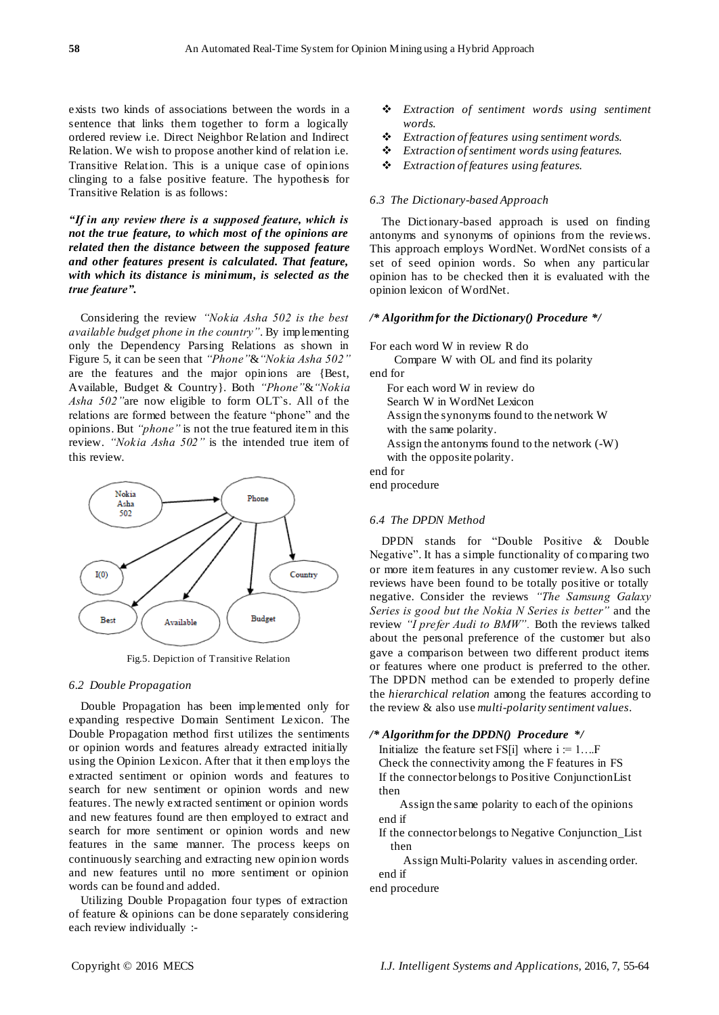exists two kinds of associations between the words in a sentence that links them together to form a logically ordered review i.e. Direct Neighbor Relation and Indirect Relation. We wish to propose another kind of relation i.e. Transitive Relation. This is a unique case of opinions clinging to a false positive feature. The hypothesis for Transitive Relation is as follows:

*"If in any review there is a supposed feature, which is not the true feature, to which most of the opinions are related then the distance between the supposed feature and other features present is calculated. That feature, with which its distance is minimum, is selected as the true feature".*

Considering the review *"Nokia Asha 502 is the best available budget phone in the country"*. By implementing only the Dependency Parsing Relations as shown in Figure 5, it can be seen that *"Phone"*&*"Nokia Asha 502"* are the features and the major opinions are {Best, Available, Budget & Country}. Both *"Phone"*&*"Nokia Asha 502"*are now eligible to form OLT`s. All of the relations are formed between the feature "phone" and the opinions. But *"phone"* is not the true featured item in this review. *"Nokia Asha 502"* is the intended true item of this review.



Fig.5. Depiction of Transitive Relation

## *6.2 Double Propagation*

Double Propagation has been implemented only for expanding respective Domain Sentiment Lexicon. The Double Propagation method first utilizes the sentiments or opinion words and features already extracted initially using the Opinion Lexicon. After that it then employs the extracted sentiment or opinion words and features to search for new sentiment or opinion words and new features. The newly extracted sentiment or opinion words and new features found are then employed to extract and search for more sentiment or opinion words and new features in the same manner. The process keeps on continuously searching and extracting new opinion words and new features until no more sentiment or opinion words can be found and added.

Utilizing Double Propagation four types of extraction of feature & opinions can be done separately considering each review individually :-

- *Extraction of sentiment words using sentiment words.*
- *Extraction of features using sentiment words.*
- *Extraction of sentiment words using features.*
- *Extraction of features using features.*

### *6.3 The Dictionary-based Approach*

The Dictionary-based approach is used on finding antonyms and synonyms of opinions from the reviews. This approach employs WordNet. WordNet consists of a set of seed opinion words. So when any particular opinion has to be checked then it is evaluated with the opinion lexicon of WordNet.

#### */\* Algorithm for the Dictionary() Procedure \*/*

For each word W in review R do Compare W with OL and find its polarity end for For each word W in review do Search W in WordNet Lexicon Assign the synonyms found to the network W with the same polarity. Assign the antonyms found to the network (-W) with the opposite polarity. end for

end procedure

## *6.4 The DPDN Method*

DPDN stands for "Double Positive & Double Negative". It has a simple functionality of comparing two or more item features in any customer review. Also such reviews have been found to be totally positive or totally negative. Consider the reviews *"The Samsung Galaxy Series is good but the Nokia N Series is better"* and the review *"I prefer Audi to BMW".* Both the reviews talked about the personal preference of the customer but also gave a comparison between two different product items or features where one product is preferred to the other. The DPDN method can be extended to properly define the *hierarchical relation* among the features according to the review & also use *multi-polarity sentiment values*.

# */\* Algorithm for the DPDN() Procedure \*/*

Initialize the feature set FS[i] where  $i = 1...F$ Check the connectivity among the F features in FS If the connector belongs to Positive ConjunctionList then

 Assign the same polarity to each of the opinions end if

 If the connector belongs to Negative Conjunction\_List then

 Assign Multi-Polarity values in ascending order. end if

end procedure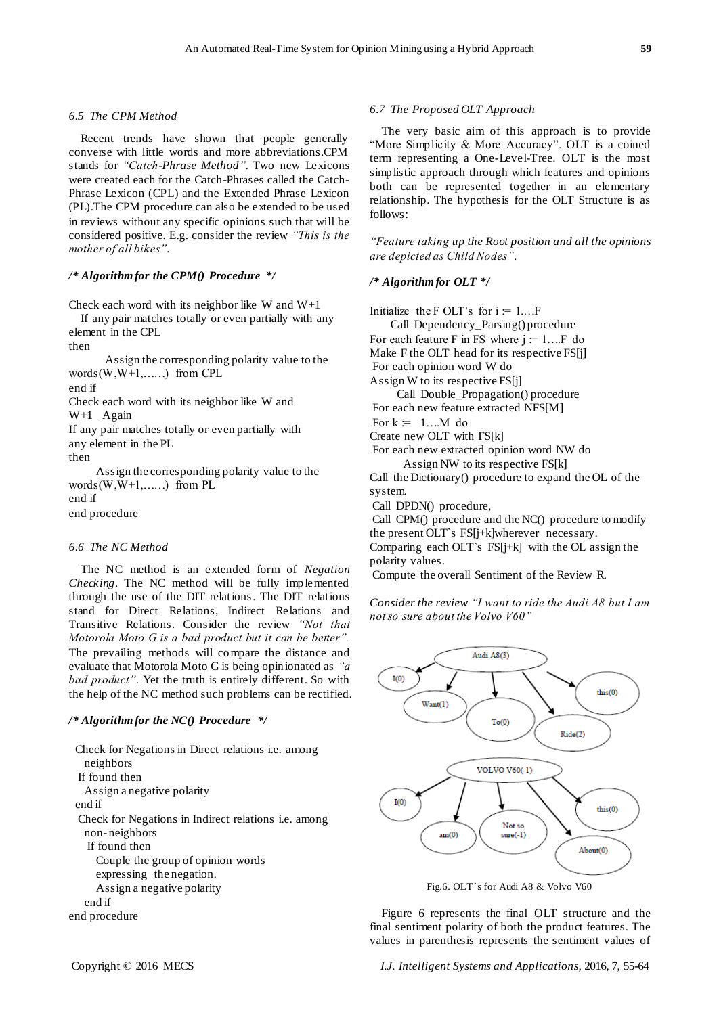# *6.5 The CPM Method*

Recent trends have shown that people generally converse with little words and more abbreviations.CPM stands for *"Catch-Phrase Method"*. Two new Lexicons were created each for the Catch-Phrases called the Catch-Phrase Lexicon (CPL) and the Extended Phrase Lexicon (PL).The CPM procedure can also be extended to be used in reviews without any specific opinions such that will be considered positive. E.g. consider the review *"This is the mother of all bikes"*.

# */\* Algorithm for the CPM() Procedure \*/*

Check each word with its neighbor like W and  $W+1$ If any pair matches totally or even partially with any

element in the CPL

then

 Assign the corresponding polarity value to the words $(W, W+1, \ldots)$  from CPL

end if

Check each word with its neighbor like W and

W+1 Again

If any pair matches totally or even partially with any element in the PL

then

 Assign the corresponding polarity value to the words $(W, W+1, \ldots)$  from PL end if end procedure

#### *6.6 The NC Method*

The NC method is an extended form of *Negation Checking*. The NC method will be fully implemented through the use of the DIT relations. The DIT relations stand for Direct Relations, Indirect Relations and Transitive Relations. Consider the review *"Not that Motorola Moto G is a bad product but it can be better".* The prevailing methods will compare the distance and evaluate that Motorola Moto G is being opinionated as *"a bad product"*. Yet the truth is entirely different. So with the help of the NC method such problems can be rectified.

## */\* Algorithm for the NC() Procedure \*/*

 Check for Negations in Direct relations i.e. among neighbors If found then Assign a negative polarity end if Check for Negations in Indirect relations i.e. among non- neighbors If found then Couple the group of opinion words expressing the negation. Assign a negative polarity end if end procedure

## *6.7 The Proposed OLT Approach*

The very basic aim of this approach is to provide "More Simplicity & More Accuracy". OLT is a coined term representing a One-Level-Tree. OLT is the most simplistic approach through which features and opinions both can be represented together in an elementary relationship. The hypothesis for the OLT Structure is as follows:

*"Feature taking up the Root position and all the opinions are depicted as Child Nodes"*.

# */\* Algorithm for OLT \*/*

Initialize the F OLT`s for  $i = 1...F$  Call Dependency\_Parsing() procedure For each feature F in FS where  $i = 1...F$  do Make F the OLT head for its respective FS[j] For each opinion word W do Assign W to its respective FS[j] Call Double\_Propagation() procedure For each new feature extracted NFS[M] For  $k := 1...M$  do Create new OLT with FS[k] For each new extracted opinion word NW do Assign NW to its respective FS[k] Call the Dictionary() procedure to expand the OL of the system. Call DPDN() procedure,

Call CPM() procedure and the NC() procedure to modify the present OLT`s FS[j+k]wherever necessary. Comparing each OLT's  $FS[i+k]$  with the OL assign the polarity values.

Compute the overall Sentiment of the Review R.

*Consider the review "I want to ride the Audi A8 but I am not so sure about the Volvo V60"*



Fig.6. OLT`s for Audi A8 & Volvo V60

Figure 6 represents the final OLT structure and the final sentiment polarity of both the product features. The values in parenthesis represents the sentiment values of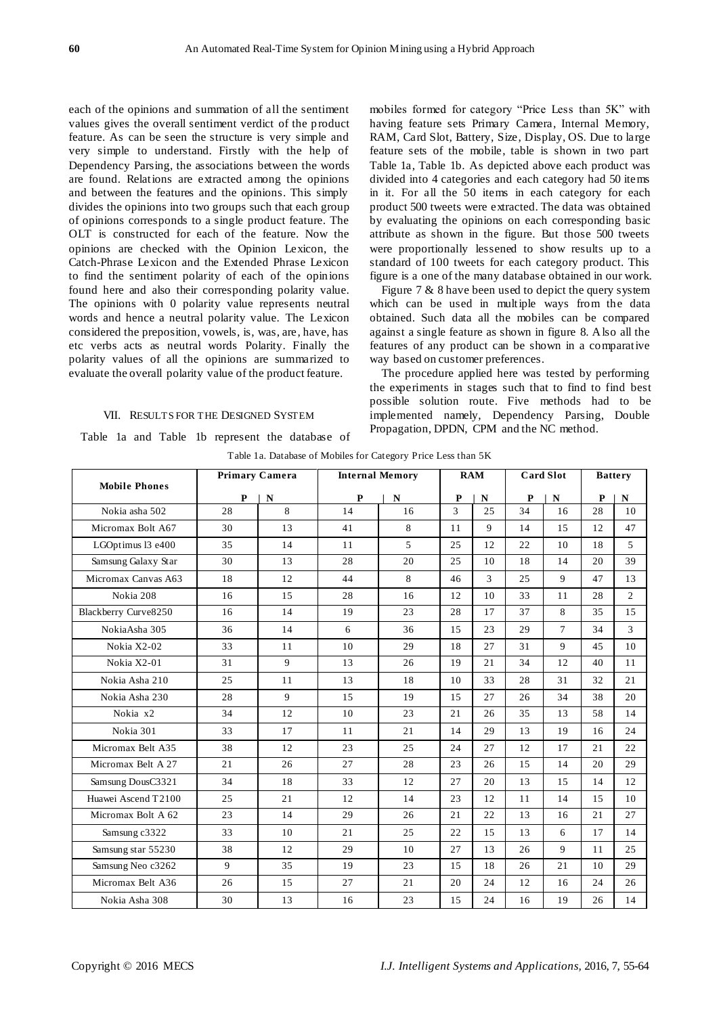each of the opinions and summation of all the sentiment values gives the overall sentiment verdict of the product feature. As can be seen the structure is very simple and very simple to understand. Firstly with the help of Dependency Parsing, the associations between the words are found. Relations are extracted among the opinions and between the features and the opinions. This simply divides the opinions into two groups such that each group of opinions corresponds to a single product feature. The OLT is constructed for each of the feature. Now the opinions are checked with the Opinion Lexicon, the Catch-Phrase Lexicon and the Extended Phrase Lexicon to find the sentiment polarity of each of the opinions found here and also their corresponding polarity value. The opinions with 0 polarity value represents neutral words and hence a neutral polarity value. The Lexicon considered the preposition, vowels, is, was, are, have, has etc verbs acts as neutral words Polarity. Finally the polarity values of all the opinions are summarized to evaluate the overall polarity value of the product feature.

# VII. RESULTS FOR THE DESIGNED SYSTEM

Table 1a and Table 1b represent the database of

mobiles formed for category "Price Less than 5K" with having feature sets Primary Camera, Internal Memory, RAM, Card Slot, Battery, Size, Display, OS. Due to large feature sets of the mobile, table is shown in two part Table 1a, Table 1b. As depicted above each product was divided into 4 categories and each category had 50 items in it. For all the 50 items in each category for each product 500 tweets were extracted. The data was obtained by evaluating the opinions on each corresponding basic attribute as shown in the figure. But those 500 tweets were proportionally lessened to show results up to a standard of 100 tweets for each category product. This figure is a one of the many database obtained in our work.

Figure 7 & 8 have been used to depict the query system which can be used in multiple ways from the data obtained. Such data all the mobiles can be compared against a single feature as shown in figure 8. Also all the features of any product can be shown in a comparative way based on customer preferences.

The procedure applied here was tested by performing the experiments in stages such that to find to find best possible solution route. Five methods had to be implemented namely, Dependency Parsing, Double Propagation, DPDN, CPM and the NC method.

| <b>Mobile Phones</b> | <b>Primary Camera</b> |    | <b>Internal Memory</b> |             | <b>RAM</b>   |                | <b>Card Slot</b> |             | <b>Battery</b> |                |
|----------------------|-----------------------|----|------------------------|-------------|--------------|----------------|------------------|-------------|----------------|----------------|
|                      | P                     | N  | $\mathbf{P}$           | $\mathbf N$ | $\mathbf{P}$ | N              | $\mathbf{P}$     | $\mathbf N$ | P              | $\mathbf N$    |
| Nokia asha 502       | 28                    | 8  | 14                     | 16          | 3            | 25             | 34               | 16          | 28             | 10             |
| Micromax Bolt A67    | 30                    | 13 | 41                     | 8           | 11           | 9              | 14               | 15          | 12             | 47             |
| LGOptimus 13 e400    | 35                    | 14 | 11                     | 5           | 25           | 12             | 22               | 10          | 18             | 5              |
| Samsung Galaxy Star  | 30                    | 13 | 28                     | 20          | 25           | 10             | 18               | 14          | 20             | 39             |
| Micromax Canvas A63  | 18                    | 12 | 44                     | 8           | 46           | $\overline{3}$ | 25               | 9           | 47             | 13             |
| Nokia 208            | 16                    | 15 | 28                     | 16          | 12           | 10             | 33               | 11          | 28             | $\overline{c}$ |
| Blackberry Curve8250 | 16                    | 14 | 19                     | 23          | 28           | 17             | 37               | 8           | 35             | 15             |
| NokiaAsha 305        | 36                    | 14 | 6                      | 36          | 15           | 23             | 29               | $\tau$      | 34             | 3              |
| Nokia X2-02          | 33                    | 11 | 10                     | 29          | 18           | 27             | 31               | 9           | 45             | 10             |
| Nokia X2-01          | 31                    | 9  | 13                     | 26          | 19           | 21             | 34               | 12          | 40             | 11             |
| Nokia Asha 210       | 25                    | 11 | 13                     | 18          | 10           | 33             | 28               | 31          | 32             | 21             |
| Nokia Asha 230       | 28                    | 9  | 15                     | 19          | 15           | 27             | 26               | 34          | 38             | 20             |
| Nokia x2             | 34                    | 12 | 10                     | 23          | 21           | 26             | 35               | 13          | 58             | 14             |
| Nokia 301            | 33                    | 17 | 11                     | 21          | 14           | 29             | 13               | 19          | 16             | 24             |
| Micromax Belt A35    | 38                    | 12 | 23                     | 25          | 24           | 27             | 12               | 17          | 21             | 22             |
| Micromax Belt A 27   | 21                    | 26 | 27                     | 28          | 23           | 26             | 15               | 14          | 20             | 29             |
| Samsung DousC3321    | 34                    | 18 | 33                     | 12          | 27           | 20             | 13               | 15          | 14             | 12             |
| Huawei Ascend T2100  | 25                    | 21 | 12                     | 14          | 23           | 12             | 11               | 14          | 15             | 10             |
| Micromax Bolt A 62   | 23                    | 14 | 29                     | 26          | 21           | 22             | 13               | 16          | 21             | 27             |
| Samsung c3322        | 33                    | 10 | 21                     | 25          | 22           | 15             | 13               | 6           | 17             | 14             |
| Samsung star 55230   | 38                    | 12 | 29                     | 10          | 27           | 13             | 26               | 9           | 11             | 25             |
| Samsung Neo c3262    | 9                     | 35 | 19                     | 23          | 15           | 18             | 26               | 21          | 10             | 29             |
| Micromax Belt A36    | 26                    | 15 | 27                     | 21          | 20           | 24             | 12               | 16          | 24             | 26             |
| Nokia Asha 308       | 30                    | 13 | 16                     | 23          | 15           | 24             | 16               | 19          | 26             | 14             |

Table 1a. Database of Mobiles for Category Price Less than 5K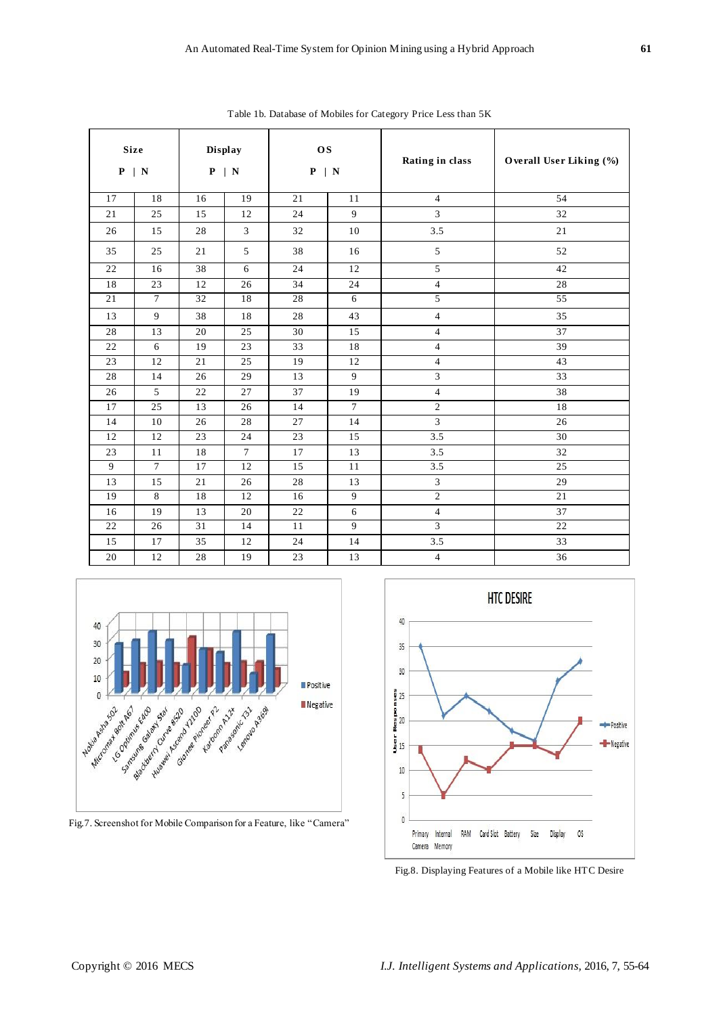|    | <b>Size</b><br>$P \mid N$ |    | <b>Display</b><br>$P \mid N$ | <b>OS</b><br>$P \mid N$ |        | Rating in class         | Overall User Liking (%) |
|----|---------------------------|----|------------------------------|-------------------------|--------|-------------------------|-------------------------|
| 17 | 18                        | 16 | 19                           | 21                      | 11     | $\overline{4}$          | 54                      |
| 21 | 25                        | 15 | 12                           | 24                      | 9      | 3                       | 32                      |
| 26 | 15                        | 28 | $\mathfrak{Z}$               | 32                      | 10     | 3.5                     | 21                      |
| 35 | 25                        | 21 | 5                            | 38                      | 16     | 5                       | 52                      |
| 22 | 16                        | 38 | 6                            | 24                      | 12     | 5                       | 42                      |
| 18 | 23                        | 12 | 26                           | 34                      | 24     | $\overline{4}$          | 28                      |
| 21 | $\tau$                    | 32 | 18                           | 28                      | 6      | 5                       | 55                      |
| 13 | 9                         | 38 | 18                           | 28                      | 43     | 4                       | 35                      |
| 28 | 13                        | 20 | 25                           | 30                      | 15     | 4                       | 37                      |
| 22 | 6                         | 19 | 23                           | 33                      | 18     | 4                       | 39                      |
| 23 | 12                        | 21 | 25                           | 19                      | 12     | 4                       | 43                      |
| 28 | 14                        | 26 | 29                           | 13                      | 9      | 3                       | 33                      |
| 26 | 5                         | 22 | 27                           | 37                      | 19     | 4                       | 38                      |
| 17 | 25                        | 13 | 26                           | 14                      | $\tau$ | $\sqrt{2}$              | 18                      |
| 14 | $10\,$                    | 26 | 28                           | 27                      | 14     | 3                       | 26                      |
| 12 | 12                        | 23 | 24                           | 23                      | 15     | 3.5                     | 30                      |
| 23 | 11                        | 18 | $\tau$                       | 17                      | 13     | 3.5                     | 32                      |
| 9  | $\overline{7}$            | 17 | 12                           | 15                      | 11     | 3.5                     | 25                      |
| 13 | 15                        | 21 | 26                           | 28                      | 13     | $\overline{\mathbf{3}}$ | 29                      |
| 19 | 8                         | 18 | 12                           | 16                      | 9      | $\sqrt{2}$              | 21                      |
| 16 | 19                        | 13 | 20                           | 22                      | 6      | $\overline{4}$          | 37                      |
| 22 | 26                        | 31 | $\overline{14}$              | 11                      | 9      | 3                       | 22                      |
| 15 | 17                        | 35 | 12                           | 24                      | 14     | 3.5                     | 33                      |
| 20 | 12                        | 28 | 19                           | 23                      | 13     | $\overline{4}$          | 36                      |

Table 1b. Database of Mobiles for Category Price Less than 5K



Fig.7. Screenshot for Mobile Comparison for a Feature, like "Camera"



Fig.8. Displaying Features of a Mobile like HTC Desire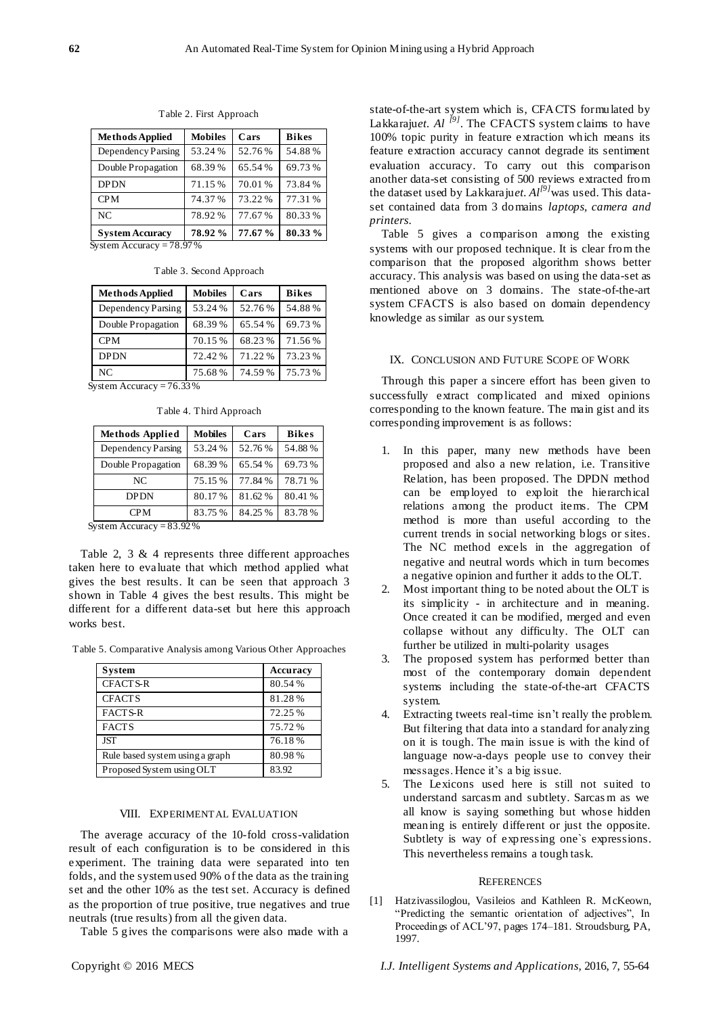| <b>Methods Applied</b> | <b>Mobiles</b> | Cars    | <b>Bikes</b> |
|------------------------|----------------|---------|--------------|
| Dependency Parsing     | 53.24 %        | 52.76%  | 54.88%       |
| Double Propagation     | 68.39%         | 65.54%  | 69.73%       |
| <b>DPDN</b>            | 71.15 %        | 70.01%  | 73.84%       |
| <b>CPM</b>             | 74.37%         | 73.22%  | 77.31 %      |
| NC                     | 78.92%         | 77.67%  | 80.33%       |
| <b>System Accuracy</b> | 78.92%         | 77.67 % | 80.33%       |

Table 2. First Approach

System Accuracy = 78.97 %

| <b>Methods Applied</b> | <b>Mobiles</b> | Cars    | <b>Bikes</b> |
|------------------------|----------------|---------|--------------|
| Dependency Parsing     | 53.24 %        | 52.76%  | 54.88%       |
| Double Propagation     | 68.39%         | 65.54 % | 69.73%       |
| <b>CPM</b>             | 70.15 %        | 68.23%  | 71.56%       |
| <b>DPDN</b>            | 72.42%         | 71.22%  | 73.23%       |
| NC                     | 75.68%         | 74.59%  | 75.73%       |

Table 3. Second Approach

System Accuracy =  $76.33\%$ 

|  | Table 4. Third Approach |  |
|--|-------------------------|--|
|  |                         |  |

| <b>Methods Applied</b> | <b>Mobiles</b> | Cars    | <b>Bikes</b> |  |
|------------------------|----------------|---------|--------------|--|
| Dependency Parsing     | 53.24 %        | 52.76 % | 54.88%       |  |
| Double Propagation     | 68.39%         | 65.54 % | 69.73 %      |  |
| NC                     | 75.15 %        | 77.84 % | 78.71 %      |  |
| <b>DPDN</b>            | 80.17 %        | 81.62%  | 80.41 %      |  |
| <b>CPM</b>             | 83.75 %        | 84.25 % | 83.78%       |  |

System Accuracy = 83.92 %

Table 2, 3 & 4 represents three different approaches taken here to evaluate that which method applied what gives the best results. It can be seen that approach 3 shown in Table 4 gives the best results. This might be different for a different data-set but here this approach works best.

Table 5. Comparative Analysis among Various Other Approaches

| <b>System</b>                   | Accuracy |
|---------------------------------|----------|
| <b>CFACTS-R</b>                 | 80.54%   |
| <b>CFACTS</b>                   | 81.28%   |
| <b>FACTS-R</b>                  | 72.25 %  |
| <b>FACTS</b>                    | 75.72 %  |
| <b>IST</b>                      | 76.18%   |
| Rule based system using a graph | 80.98%   |
| Proposed System using OLT       | 83.92    |

## VIII. EXPERIMENTAL EVALUATION

The average accuracy of the 10-fold cross-validation result of each configuration is to be considered in this experiment. The training data were separated into ten folds, and the system used 90% of the data as the training set and the other 10% as the test set. Accuracy is defined as the proportion of true positive, true negatives and true neutrals (true results) from all the given data.

Table 5 gives the comparisons were also made with a

state-of-the-art system which is, CFACTS formulated by Lakkaraju*et. Al [9]*. The CFACTS system claims to have 100% topic purity in feature extraction which means its feature extraction accuracy cannot degrade its sentiment evaluation accuracy. To carry out this comparison another data-set consisting of 500 reviews extracted from the dataset used by Lakkaraju*et. Al[9]*was used. This dataset contained data from 3 domains *laptops, camera and printers*.

Table 5 gives a comparison among the existing systems with our proposed technique. It is clear from the comparison that the proposed algorithm shows better accuracy. This analysis was based on using the data-set as mentioned above on 3 domains. The state-of-the-art system CFACTS is also based on domain dependency knowledge as similar as our system.

## IX. CONCLUSION AND FUTURE SCOPE OF WORK

Through this paper a sincere effort has been given to successfully extract complicated and mixed opinions corresponding to the known feature. The main gist and its corresponding improvement is as follows:

- 1. In this paper, many new methods have been proposed and also a new relation, i.e. Transitive Relation, has been proposed. The DPDN method can be employed to exploit the hierarchical relations among the product items. The CPM method is more than useful according to the current trends in social networking blogs or sites. The NC method excels in the aggregation of negative and neutral words which in turn becomes a negative opinion and further it adds to the OLT.
- 2. Most important thing to be noted about the OLT is its simplicity - in architecture and in meaning. Once created it can be modified, merged and even collapse without any difficulty. The OLT can further be utilized in multi-polarity usages
- 3. The proposed system has performed better than most of the contemporary domain dependent systems including the state-of-the-art CFACTS system.
- 4. Extracting tweets real-time isn't really the problem. But filtering that data into a standard for analyzing on it is tough. The main issue is with the kind of language now-a-days people use to convey their messages. Hence it's a big issue.
- 5. The Lexicons used here is still not suited to understand sarcasm and subtlety. Sarcas m as we all know is saying something but whose hidden meaning is entirely different or just the opposite. Subtlety is way of expressing one`s expressions. This nevertheless remains a tough task.

#### **REFERENCES**

[1] Hatzivassiloglou, Vasileios and Kathleen R. McKeown, "Predicting the semantic orientation of adjectives", In Proceedings of ACL'97, pages 174–181. Stroudsburg, PA, 1997.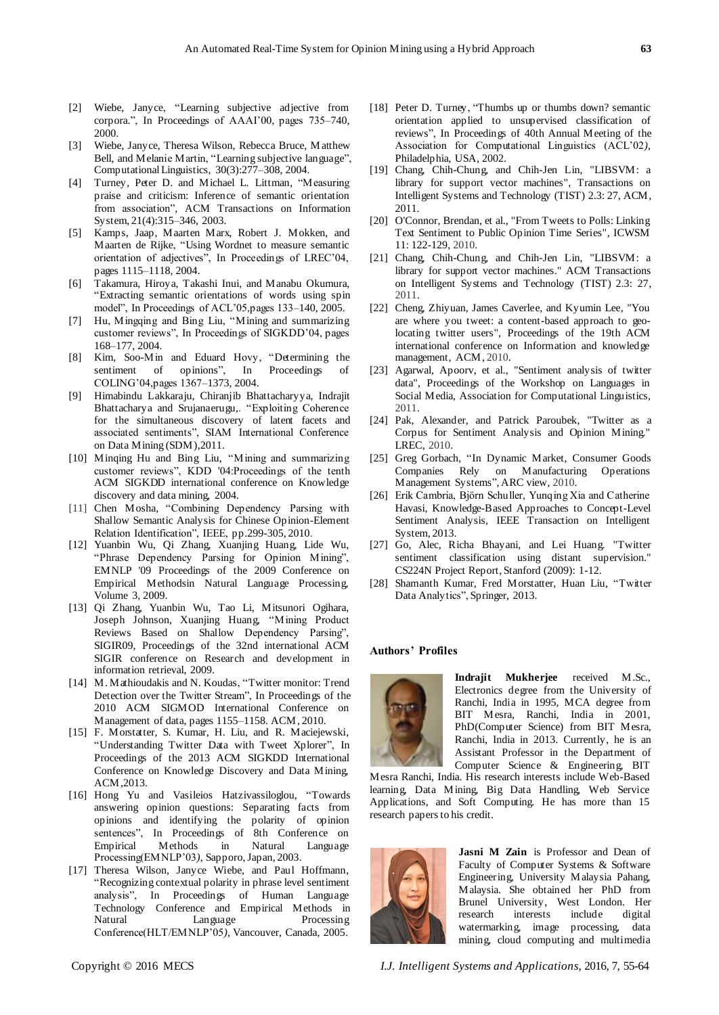- [2] Wiebe, Janyce, "Learning subjective adjective from corpora.", In Proceedings of AAAI'00, pages 735–740, 2000.
- [3] Wiebe, Janyce, Theresa Wilson, Rebecca Bruce, Matthew Bell, and Melanie Martin, "Learning subjective language", Computational Linguistics, 30(3):277–308, 2004.
- [4] Turney, Peter D. and Michael L. Littman, "Measuring praise and criticism: Inference of semantic orientation from association", ACM Transactions on Information System, 21(4):315–346, 2003.
- [5] Kamps, Jaap, Maarten Marx, Robert J. Mokken, and Maarten de Rijke, "Using Wordnet to measure semantic orientation of adjectives", In Proceedings of LREC'04, pages 1115–1118, 2004.
- [6] Takamura, Hiroya, Takashi Inui, and Manabu Okumura, ―Extracting semantic orientations of words using spin model", In Proceedings of ACL'05, pages 133–140, 2005.
- [7] Hu, Mingqing and Bing Liu, "Mining and summarizing customer reviews", In Proceedings of SIGKDD'04, pages 168–177, 2004.
- [8] Kim, Soo-Min and Eduard Hovy, "Determining the sentiment of opinions", In Proceedings of sentiment of opinions", In Proceedings of COLING'04,pages 1367–1373, 2004.
- [9] Himabindu Lakkaraju, Chiranjib Bhattacharyya, Indrajit Bhattacharya and Srujanaerugu,. "Exploiting Coherence for the simultaneous discovery of latent facets and associated sentiments", SIAM International Conference on Data Mining (SDM),2011.
- [10] Minqing Hu and Bing Liu, "Mining and summarizing customer reviews", KDD '04:Proceedings of the tenth ACM SIGKDD international conference on Knowledge discovery and data mining, 2004.
- [11] Chen Mosha, "Combining Dependency Parsing with Shallow Semantic Analysis for Chinese Opinion-Element Relation Identification", IEEE, pp.299-305, 2010.
- [12] Yuanbin Wu, Qi Zhang, Xuanjing Huang, Lide Wu, "Phrase Dependency Parsing for Opinion Mining", EMNLP '09 Proceedings of the 2009 Conference on Empirical Methodsin Natural Language Processing, Volume 3, 2009.
- [13] Qi Zhang, Yuanbin Wu, Tao Li, Mitsunori Ogihara, Joseph Johnson, Xuanjing Huang, "Mining Product Reviews Based on Shallow Dependency Parsing", SIGIR09, Proceedings of the 32nd international ACM SIGIR conference on Research and development in information retrieval, 2009.
- [14] M. Mathioudakis and N. Koudas, "Twitter monitor: Trend Detection over the Twitter Stream", In Proceedings of the 2010 ACM SIGMOD International Conference on Management of data, pages 1155–1158. ACM, 2010.
- [15] F. Morstatter, S. Kumar, H. Liu, and R. Maciejewski, "Understanding Twitter Data with Tweet Xplorer", In Proceedings of the 2013 ACM SIGKDD International Conference on Knowledge Discovery and Data Mining, ACM,2013.
- [16] Hong Yu and Vasileios Hatzivassiloglou, "Towards answering opinion questions: Separating facts from opinions and identifying the polarity of opinion sentences", In Proceedings of 8th Conference on Empirical Methods in Natural Language Processing(EMNLP'03*)*, Sapporo, Japan, 2003.
- [17] Theresa Wilson, Janyce Wiebe, and Paul Hoffmann, ―Recognizing contextual polarity in phrase level sentiment analysis", In Proceedings of Human Language Technology Conference and Empirical Methods in Natural Language Processing Conference(HLT/EMNLP'05*)*, Vancouver, Canada, 2005.
- 
- [18] Peter D. Turney, "Thumbs up or thumbs down? semantic orientation applied to unsupervised classification of reviews", In Proceedings of 40th Annual Meeting of the Association for Computational Linguistics (ACL'02*)*, Philadelphia, USA, 2002.
- [19] Chang, Chih-Chung, and Chih-Jen Lin, "LIBSVM: a library for support vector machines", Transactions on Intelligent Systems and Technology (TIST) 2.3: 27, ACM, 2011.
- [20] O'Connor, Brendan, et al., "From Tweets to Polls: Linking Text Sentiment to Public Opinion Time Series", ICWSM 11: 122-129, 2010.
- [21] Chang, Chih-Chung, and Chih-Jen Lin, "LIBSVM: a library for support vector machines." ACM Transactions on Intelligent Systems and Technology (TIST) 2.3: 27, 2011.
- [22] Cheng, Zhiyuan, James Caverlee, and Kyumin Lee, "You are where you tweet: a content-based approach to geolocating twitter users", Proceedings of the 19th ACM international conference on Information and knowledge management, ACM, 2010.
- [23] Agarwal, Apoorv, et al., "Sentiment analysis of twitter data", Proceedings of the Workshop on Languages in Social Media, Association for Computational Linguistics, 2011.
- [24] Pak, Alexander, and Patrick Paroubek, "Twitter as a Corpus for Sentiment Analysis and Opinion Mining." LREC, 2010.
- [25] Greg Gorbach, "In Dynamic Market, Consumer Goods Companies Rely on Manufacturing Operations Management Systems", ARC view, 2010.
- [26] Erik Cambria, Björn Schuller, Yunqing Xia and Catherine Havasi, Knowledge-Based Approaches to Concept-Level Sentiment Analysis, IEEE Transaction on Intelligent System, 2013.
- [27] Go, Alec, Richa Bhayani, and Lei Huang. "Twitter sentiment classification using distant supervision." CS224N Project Report, Stanford (2009): 1-12.
- [28] Shamanth Kumar, Fred Morstatter, Huan Liu, "Twitter Data Analytics", Springer, 2013.

# **Authors' Profiles**



**Indrajit Mukherjee** received M.Sc., Electronics degree from the University of Ranchi, India in 1995, MCA degree from BIT Mesra, Ranchi, India in 2001, PhD(Computer Science) from BIT Mesra, Ranchi, India in 2013. Currently, he is an Assistant Professor in the Department of Computer Science & Engineering, BIT

Mesra Ranchi, India. His research interests include Web-Based learning, Data Mining, Big Data Handling, Web Service Applications, and Soft Computing. He has more than 15 research papers to his credit.



**Jasni M Zain** is Professor and Dean of Faculty of Computer Systems & Software Engineering, University Malaysia Pahang, Malaysia. She obtained her PhD from Brunel University, West London. Her research interests include digital watermarking, image processing, data mining, cloud computing and multimedia